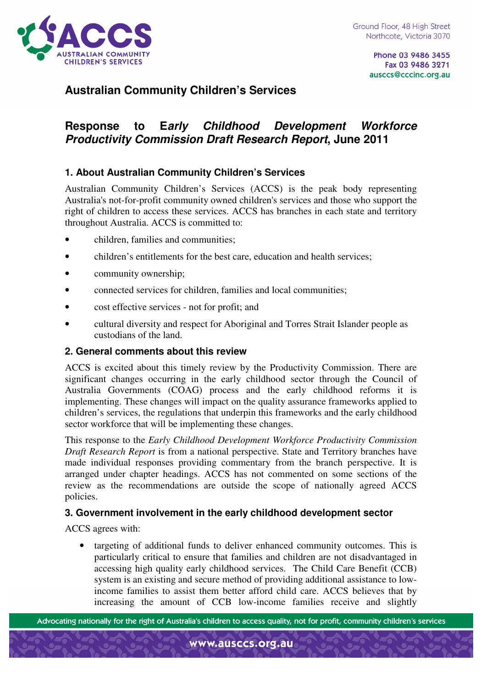

# **Australian Community Children's Services**

# **Response to Early Childhood Development Workforce Productivity Commission Draft Research Report, June 2011**

## **1. About Australian Community Children's Services**

Australian Community Children's Services (ACCS) is the peak body representing Australia's not-for-profit community owned children's services and those who support the right of children to access these services. ACCS has branches in each state and territory throughout Australia. ACCS is committed to:

- children, families and communities;
- children's entitlements for the best care, education and health services;
- community ownership;
- connected services for children, families and local communities;
- cost effective services not for profit; and
- cultural diversity and respect for Aboriginal and Torres Strait Islander people as custodians of the land.

### **2. General comments about this review**

ACCS is excited about this timely review by the Productivity Commission. There are significant changes occurring in the early childhood sector through the Council of Australia Governments (COAG) process and the early childhood reforms it is implementing. These changes will impact on the quality assurance frameworks applied to children's services, the regulations that underpin this frameworks and the early childhood sector workforce that will be implementing these changes.

This response to the *Early Childhood Development Workforce Productivity Commission Draft Research Report* is from a national perspective. State and Territory branches have made individual responses providing commentary from the branch perspective. It is arranged under chapter headings. ACCS has not commented on some sections of the review as the recommendations are outside the scope of nationally agreed ACCS policies.

#### **3. Government involvement in the early childhood development sector**

ACCS agrees with:

• targeting of additional funds to deliver enhanced community outcomes. This is particularly critical to ensure that families and children are not disadvantaged in accessing high quality early childhood services. The Child Care Benefit (CCB) system is an existing and secure method of providing additional assistance to lowincome families to assist them better afford child care. ACCS believes that by increasing the amount of CCB low-income families receive and slightly

Advocating nationally for the right of Australia's children to access quality, not for profit, community children's services

www.ausccs.org.au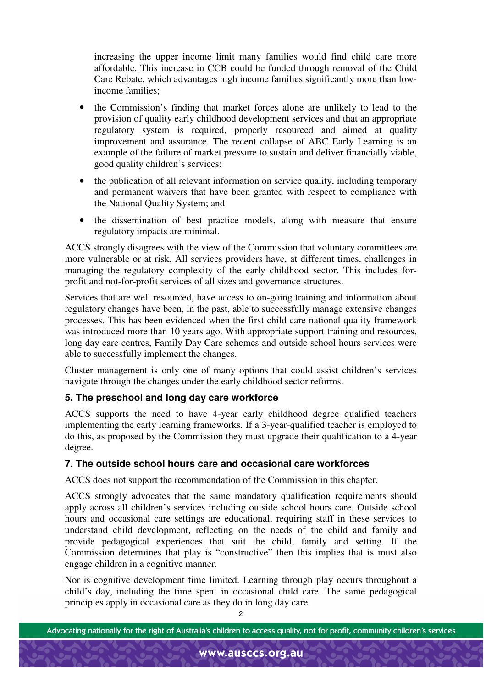increasing the upper income limit many families would find child care more affordable. This increase in CCB could be funded through removal of the Child Care Rebate, which advantages high income families significantly more than lowincome families;

- the Commission's finding that market forces alone are unlikely to lead to the provision of quality early childhood development services and that an appropriate regulatory system is required, properly resourced and aimed at quality improvement and assurance. The recent collapse of ABC Early Learning is an example of the failure of market pressure to sustain and deliver financially viable, good quality children's services;
- the publication of all relevant information on service quality, including temporary and permanent waivers that have been granted with respect to compliance with the National Quality System; and
- the dissemination of best practice models, along with measure that ensure regulatory impacts are minimal.

ACCS strongly disagrees with the view of the Commission that voluntary committees are more vulnerable or at risk. All services providers have, at different times, challenges in managing the regulatory complexity of the early childhood sector. This includes forprofit and not-for-profit services of all sizes and governance structures.

Services that are well resourced, have access to on-going training and information about regulatory changes have been, in the past, able to successfully manage extensive changes processes. This has been evidenced when the first child care national quality framework was introduced more than 10 years ago. With appropriate support training and resources, long day care centres, Family Day Care schemes and outside school hours services were able to successfully implement the changes.

Cluster management is only one of many options that could assist children's services navigate through the changes under the early childhood sector reforms.

## **5. The preschool and long day care workforce**

ACCS supports the need to have 4-year early childhood degree qualified teachers implementing the early learning frameworks. If a 3-year-qualified teacher is employed to do this, as proposed by the Commission they must upgrade their qualification to a 4-year degree.

### **7. The outside school hours care and occasional care workforces**

ACCS does not support the recommendation of the Commission in this chapter.

ACCS strongly advocates that the same mandatory qualification requirements should apply across all children's services including outside school hours care. Outside school hours and occasional care settings are educational, requiring staff in these services to understand child development, reflecting on the needs of the child and family and provide pedagogical experiences that suit the child, family and setting. If the Commission determines that play is "constructive" then this implies that is must also engage children in a cognitive manner.

Nor is cognitive development time limited. Learning through play occurs throughout a child's day, including the time spent in occasional child care. The same pedagogical principles apply in occasional care as they do in long day care.

www.ausccs.org.au

Advocating nationally for the right of Australia's children to access quality, not for profit, community children's services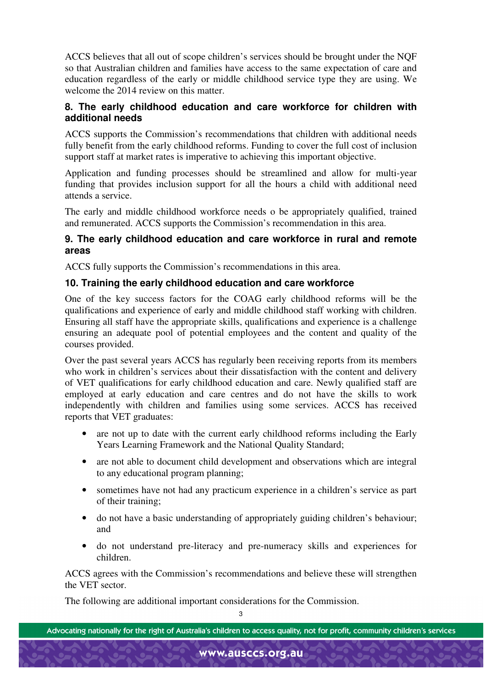ACCS believes that all out of scope children's services should be brought under the NQF so that Australian children and families have access to the same expectation of care and education regardless of the early or middle childhood service type they are using. We welcome the 2014 review on this matter.

### **8. The early childhood education and care workforce for children with additional needs**

ACCS supports the Commission's recommendations that children with additional needs fully benefit from the early childhood reforms. Funding to cover the full cost of inclusion support staff at market rates is imperative to achieving this important objective.

Application and funding processes should be streamlined and allow for multi-year funding that provides inclusion support for all the hours a child with additional need attends a service.

The early and middle childhood workforce needs o be appropriately qualified, trained and remunerated. ACCS supports the Commission's recommendation in this area.

### **9. The early childhood education and care workforce in rural and remote areas**

ACCS fully supports the Commission's recommendations in this area.

### **10. Training the early childhood education and care workforce**

One of the key success factors for the COAG early childhood reforms will be the qualifications and experience of early and middle childhood staff working with children. Ensuring all staff have the appropriate skills, qualifications and experience is a challenge ensuring an adequate pool of potential employees and the content and quality of the courses provided.

Over the past several years ACCS has regularly been receiving reports from its members who work in children's services about their dissatisfaction with the content and delivery of VET qualifications for early childhood education and care. Newly qualified staff are employed at early education and care centres and do not have the skills to work independently with children and families using some services. ACCS has received reports that VET graduates:

- are not up to date with the current early childhood reforms including the Early Years Learning Framework and the National Quality Standard;
- are not able to document child development and observations which are integral to any educational program planning;
- sometimes have not had any practicum experience in a children's service as part of their training;
- do not have a basic understanding of appropriately guiding children's behaviour; and
- do not understand pre-literacy and pre-numeracy skills and experiences for children.

ACCS agrees with the Commission's recommendations and believe these will strengthen the VET sector.

The following are additional important considerations for the Commission.

Advocating nationally for the right of Australia's children to access quality, not for profit, community children's services

www.ausccs.org.au